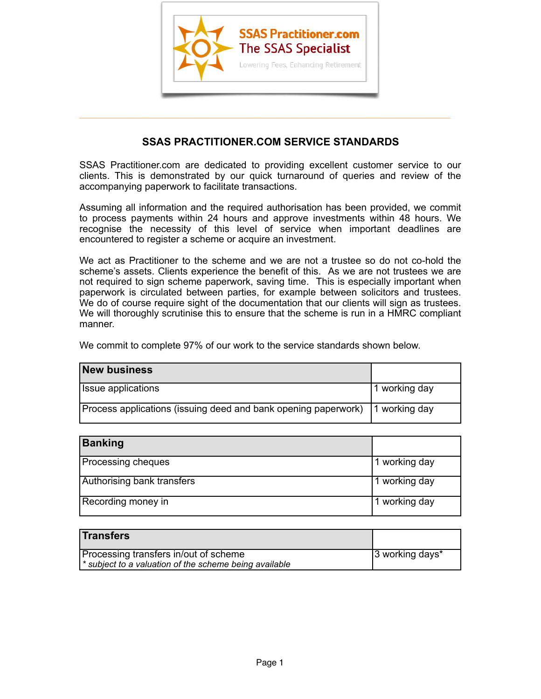

## **SSAS PRACTITIONER.COM SERVICE STANDARDS**

 $\overline{\phantom{a}}$  , and the contract of the contract of the contract of  $\overline{\phantom{a}}$ 

SSAS Practitioner.com are dedicated to providing excellent customer service to our clients. This is demonstrated by our quick turnaround of queries and review of the accompanying paperwork to facilitate transactions.

Assuming all information and the required authorisation has been provided, we commit to process payments within 24 hours and approve investments within 48 hours. We recognise the necessity of this level of service when important deadlines are encountered to register a scheme or acquire an investment.

We act as Practitioner to the scheme and we are not a trustee so do not co-hold the scheme's assets. Clients experience the benefit of this. As we are not trustees we are not required to sign scheme paperwork, saving time. This is especially important when paperwork is circulated between parties, for example between solicitors and trustees. We do of course require sight of the documentation that our clients will sign as trustees. We will thoroughly scrutinise this to ensure that the scheme is run in a HMRC compliant manner.

We commit to complete 97% of our work to the service standards shown below.

| <b>New business</b>                                            |               |
|----------------------------------------------------------------|---------------|
| <b>Issue applications</b>                                      | 1 working day |
| Process applications (issuing deed and bank opening paperwork) | 1 working day |

| <b>Banking</b>             |               |
|----------------------------|---------------|
| <b>Processing cheques</b>  | 1 working day |
| Authorising bank transfers | 1 working day |
| Recording money in         | 1 working day |

| <b>Transfers</b>                                     |                 |
|------------------------------------------------------|-----------------|
| Processing transfers in/out of scheme                | 3 working days* |
| subject to a valuation of the scheme being available |                 |